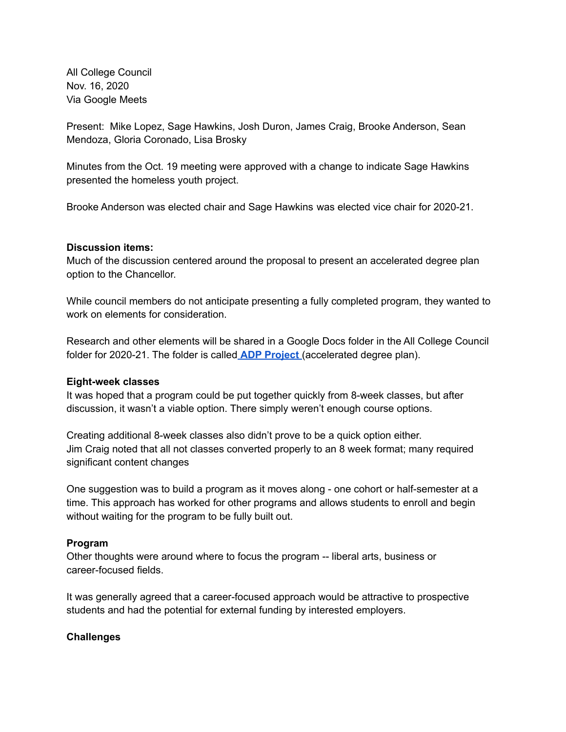All College Council Nov. 16, 2020 Via Google Meets

Present: Mike Lopez, Sage Hawkins, Josh Duron, James Craig, Brooke Anderson, Sean Mendoza, Gloria Coronado, Lisa Brosky

Minutes from the Oct. 19 meeting were approved with a change to indicate Sage Hawkins presented the homeless youth project.

Brooke Anderson was elected chair and Sage Hawkins was elected vice chair for 2020-21.

### **Discussion items:**

Much of the discussion centered around the proposal to present an accelerated degree plan option to the Chancellor.

While council members do not anticipate presenting a fully completed program, they wanted to work on elements for consideration.

Research and other elements will be shared in a Google Docs folder in the All College Council folder for 2020-21. The folder is called **ADP [Project](https://drive.google.com/drive/folders/1qo6NwssC8LEh1h_AQddNdfP-M5u9iWJN?usp=sharing)** (accelerated degree plan).

#### **Eight-week classes**

It was hoped that a program could be put together quickly from 8-week classes, but after discussion, it wasn't a viable option. There simply weren't enough course options.

Creating additional 8-week classes also didn't prove to be a quick option either. Jim Craig noted that all not classes converted properly to an 8 week format; many required significant content changes

One suggestion was to build a program as it moves along - one cohort or half-semester at a time. This approach has worked for other programs and allows students to enroll and begin without waiting for the program to be fully built out.

# **Program**

Other thoughts were around where to focus the program -- liberal arts, business or career-focused fields.

It was generally agreed that a career-focused approach would be attractive to prospective students and had the potential for external funding by interested employers.

# **Challenges**